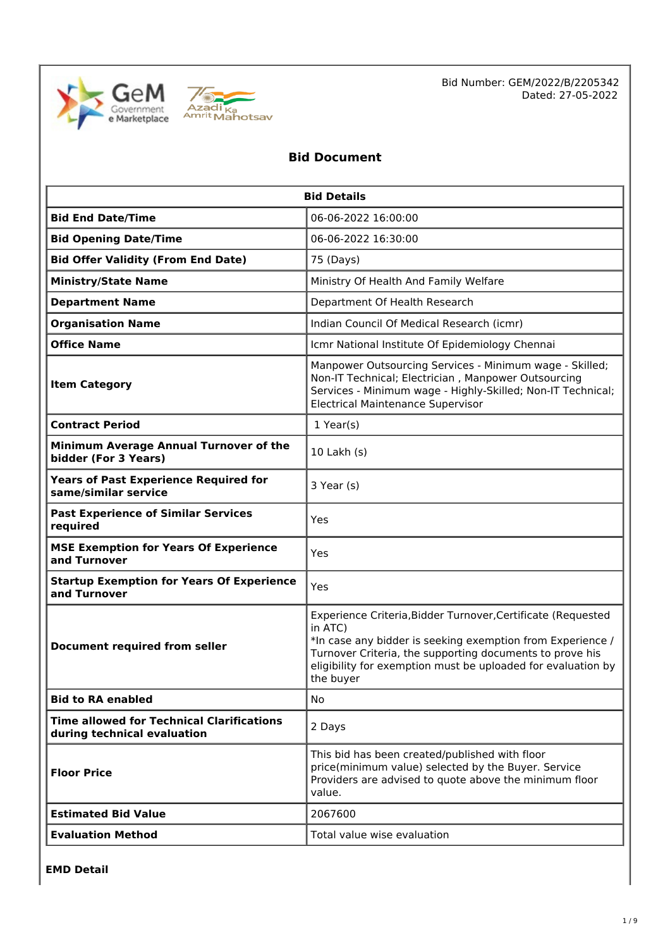



Bid Number: GEM/2022/B/2205342 Dated: 27-05-2022

# **Bid Document**

| <b>Bid Details</b>                                                              |                                                                                                                                                                                                                                                                                |  |  |
|---------------------------------------------------------------------------------|--------------------------------------------------------------------------------------------------------------------------------------------------------------------------------------------------------------------------------------------------------------------------------|--|--|
| <b>Bid End Date/Time</b>                                                        | 06-06-2022 16:00:00                                                                                                                                                                                                                                                            |  |  |
| <b>Bid Opening Date/Time</b>                                                    | 06-06-2022 16:30:00                                                                                                                                                                                                                                                            |  |  |
| <b>Bid Offer Validity (From End Date)</b>                                       | 75 (Days)                                                                                                                                                                                                                                                                      |  |  |
| <b>Ministry/State Name</b>                                                      | Ministry Of Health And Family Welfare                                                                                                                                                                                                                                          |  |  |
| <b>Department Name</b>                                                          | Department Of Health Research                                                                                                                                                                                                                                                  |  |  |
| <b>Organisation Name</b>                                                        | Indian Council Of Medical Research (icmr)                                                                                                                                                                                                                                      |  |  |
| <b>Office Name</b>                                                              | Icmr National Institute Of Epidemiology Chennai                                                                                                                                                                                                                                |  |  |
| <b>Item Category</b>                                                            | Manpower Outsourcing Services - Minimum wage - Skilled;<br>Non-IT Technical; Electrician, Manpower Outsourcing<br>Services - Minimum wage - Highly-Skilled; Non-IT Technical;<br><b>Electrical Maintenance Supervisor</b>                                                      |  |  |
| $1$ Year(s)<br><b>Contract Period</b>                                           |                                                                                                                                                                                                                                                                                |  |  |
| Minimum Average Annual Turnover of the<br>bidder (For 3 Years)                  | 10 Lakh (s)                                                                                                                                                                                                                                                                    |  |  |
| <b>Years of Past Experience Required for</b><br>same/similar service            | 3 Year (s)                                                                                                                                                                                                                                                                     |  |  |
| <b>Past Experience of Similar Services</b><br>required                          | Yes                                                                                                                                                                                                                                                                            |  |  |
| <b>MSE Exemption for Years Of Experience</b><br>and Turnover                    | Yes                                                                                                                                                                                                                                                                            |  |  |
| <b>Startup Exemption for Years Of Experience</b><br>and Turnover                | Yes                                                                                                                                                                                                                                                                            |  |  |
| <b>Document required from seller</b>                                            | Experience Criteria, Bidder Turnover, Certificate (Requested<br>in ATC)<br>*In case any bidder is seeking exemption from Experience /<br>Turnover Criteria, the supporting documents to prove his<br>eligibility for exemption must be uploaded for evaluation by<br>the buyer |  |  |
| <b>Bid to RA enabled</b>                                                        | No.                                                                                                                                                                                                                                                                            |  |  |
| <b>Time allowed for Technical Clarifications</b><br>during technical evaluation | 2 Days                                                                                                                                                                                                                                                                         |  |  |
| <b>Floor Price</b>                                                              | This bid has been created/published with floor<br>price(minimum value) selected by the Buyer. Service<br>Providers are advised to quote above the minimum floor<br>value.                                                                                                      |  |  |
| <b>Estimated Bid Value</b>                                                      | 2067600                                                                                                                                                                                                                                                                        |  |  |
| <b>Evaluation Method</b>                                                        | Total value wise evaluation                                                                                                                                                                                                                                                    |  |  |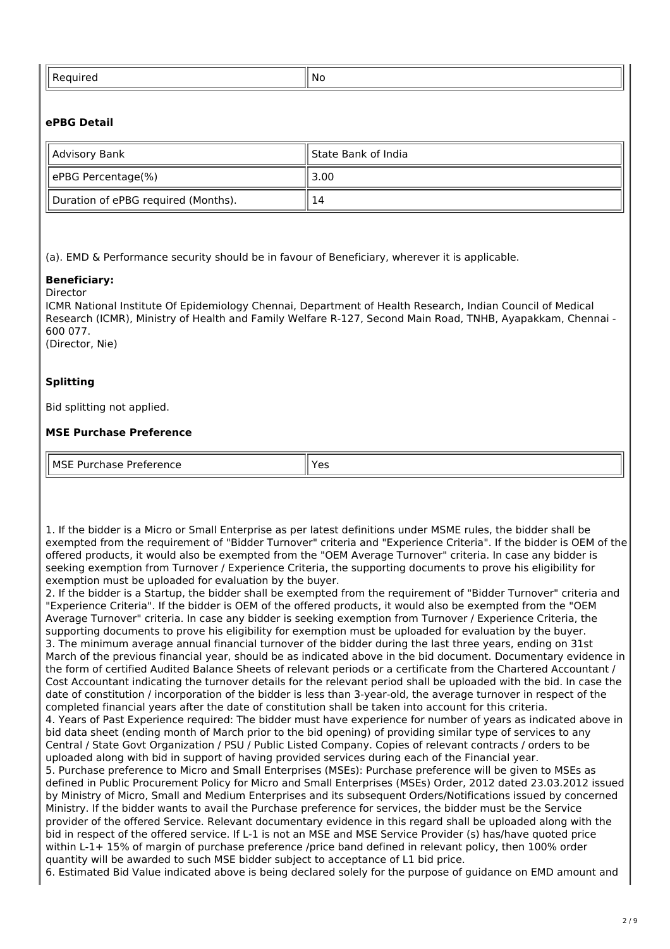| . | NI.<br>-- |
|---|-----------|
|   |           |

## **ePBG Detail**

| Advisory Bank                       | l State Bank of India |  |
|-------------------------------------|-----------------------|--|
| ePBG Percentage(%)                  | 3.00                  |  |
| Duration of ePBG required (Months). | 14                    |  |

(a). EMD & Performance security should be in favour of Beneficiary, wherever it is applicable.

#### **Beneficiary:** Director

ICMR National Institute Of Epidemiology Chennai, Department of Health Research, Indian Council of Medical Research (ICMR), Ministry of Health and Family Welfare R-127, Second Main Road, TNHB, Ayapakkam, Chennai - 600 077.

(Director, Nie)

## **Splitting**

Bid splitting not applied.

#### **MSE Purchase Preference**

| MSE<br>.<br>$\overline{\phantom{0}}$<br>ence<br>∽<br>.<br>$\overline{a}$<br>--<br>--<br>___ |
|---------------------------------------------------------------------------------------------|
|---------------------------------------------------------------------------------------------|

1. If the bidder is a Micro or Small Enterprise as per latest definitions under MSME rules, the bidder shall be exempted from the requirement of "Bidder Turnover" criteria and "Experience Criteria". If the bidder is OEM of the offered products, it would also be exempted from the "OEM Average Turnover" criteria. In case any bidder is seeking exemption from Turnover / Experience Criteria, the supporting documents to prove his eligibility for exemption must be uploaded for evaluation by the buyer.

2. If the bidder is a Startup, the bidder shall be exempted from the requirement of "Bidder Turnover" criteria and "Experience Criteria". If the bidder is OEM of the offered products, it would also be exempted from the "OEM Average Turnover" criteria. In case any bidder is seeking exemption from Turnover / Experience Criteria, the supporting documents to prove his eligibility for exemption must be uploaded for evaluation by the buyer. 3. The minimum average annual financial turnover of the bidder during the last three years, ending on 31st March of the previous financial year, should be as indicated above in the bid document. Documentary evidence in the form of certified Audited Balance Sheets of relevant periods or a certificate from the Chartered Accountant / Cost Accountant indicating the turnover details for the relevant period shall be uploaded with the bid. In case the date of constitution / incorporation of the bidder is less than 3-year-old, the average turnover in respect of the completed financial years after the date of constitution shall be taken into account for this criteria. 4. Years of Past Experience required: The bidder must have experience for number of years as indicated above in bid data sheet (ending month of March prior to the bid opening) of providing similar type of services to any Central / State Govt Organization / PSU / Public Listed Company. Copies of relevant contracts / orders to be uploaded along with bid in support of having provided services during each of the Financial year. 5. Purchase preference to Micro and Small Enterprises (MSEs): Purchase preference will be given to MSEs as defined in Public Procurement Policy for Micro and Small Enterprises (MSEs) Order, 2012 dated 23.03.2012 issued by Ministry of Micro, Small and Medium Enterprises and its subsequent Orders/Notifications issued by concerned Ministry. If the bidder wants to avail the Purchase preference for services, the bidder must be the Service provider of the offered Service. Relevant documentary evidence in this regard shall be uploaded along with the bid in respect of the offered service. If L-1 is not an MSE and MSE Service Provider (s) has/have quoted price within L-1+ 15% of margin of purchase preference /price band defined in relevant policy, then 100% order quantity will be awarded to such MSE bidder subject to acceptance of L1 bid price.

6. Estimated Bid Value indicated above is being declared solely for the purpose of guidance on EMD amount and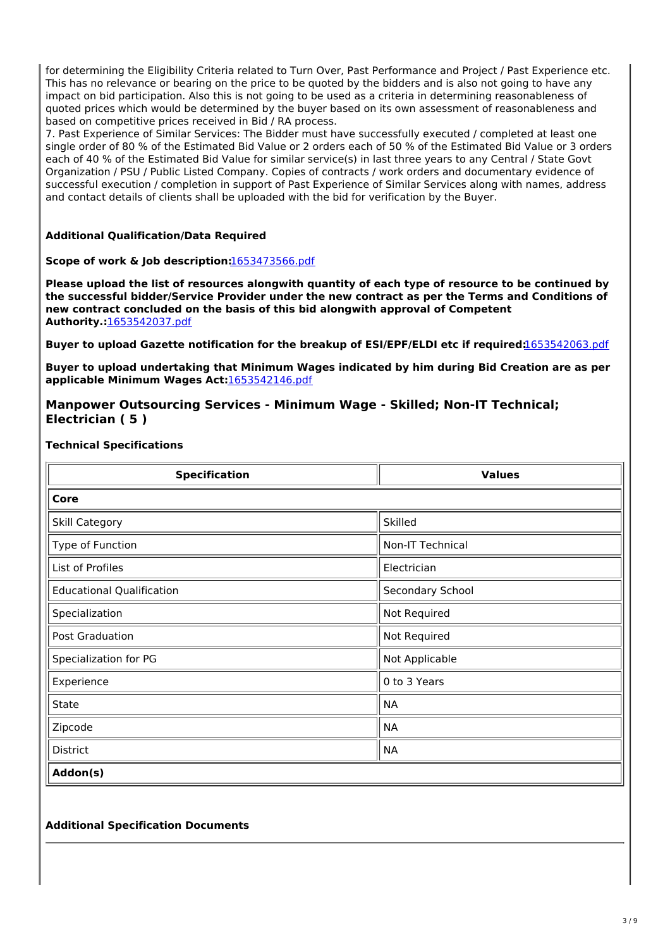for determining the Eligibility Criteria related to Turn Over, Past Performance and Project / Past Experience etc. This has no relevance or bearing on the price to be quoted by the bidders and is also not going to have any impact on bid participation. Also this is not going to be used as a criteria in determining reasonableness of quoted prices which would be determined by the buyer based on its own assessment of reasonableness and based on competitive prices received in Bid / RA process.

7. Past Experience of Similar Services: The Bidder must have successfully executed / completed at least one single order of 80 % of the Estimated Bid Value or 2 orders each of 50 % of the Estimated Bid Value or 3 orders each of 40 % of the Estimated Bid Value for similar service(s) in last three years to any Central / State Govt Organization / PSU / Public Listed Company. Copies of contracts / work orders and documentary evidence of successful execution / completion in support of Past Experience of Similar Services along with names, address and contact details of clients shall be uploaded with the bid for verification by the Buyer.

#### **Additional Qualification/Data Required**

#### **Scope of work & Job description:**[1653473566.pdf](https://bidplus.gem.gov.in/resources/upload2/MayQ222/bidding/biddoc/bid-3432124/1653473566.pdf)

**Please upload the list of resources alongwith quantity of each type of resource to be continued by the successful bidder/Service Provider under the new contract as per the Terms and Conditions of new contract concluded on the basis of this bid alongwith approval of Competent Authority.:**[1653542037.pdf](https://bidplus.gem.gov.in/resources/upload2/MayQ222/bidding/biddoc/bid-3432124/1653542037.pdf)

**Buyer to upload Gazette notification for the breakup of ESI/EPF/ELDI etc if required:**[1653542063.pdf](https://bidplus.gem.gov.in/resources/upload2/MayQ222/bidding/biddoc/bid-3432124/1653542063.pdf)

**Buyer to upload undertaking that Minimum Wages indicated by him during Bid Creation are as per applicable Minimum Wages Act:**[1653542146.pdf](https://bidplus.gem.gov.in/resources/upload2/MayQ222/bidding/biddoc/bid-3432124/1653542146.pdf)

#### **Manpower Outsourcing Services - Minimum Wage - Skilled; Non-IT Technical; Electrician ( 5 )**

#### **Technical Specifications**

| <b>Specification</b>             | <b>Values</b>           |  |  |  |
|----------------------------------|-------------------------|--|--|--|
| Core                             |                         |  |  |  |
| Skill Category                   | Skilled                 |  |  |  |
| Type of Function                 | <b>Non-IT Technical</b> |  |  |  |
| List of Profiles                 | Electrician             |  |  |  |
| <b>Educational Qualification</b> | Secondary School        |  |  |  |
| Specialization                   | Not Required            |  |  |  |
| Post Graduation                  | Not Required            |  |  |  |
| Specialization for PG            | Not Applicable          |  |  |  |
| Experience                       | 0 to 3 Years            |  |  |  |
| <b>State</b>                     | <b>NA</b>               |  |  |  |
| Zipcode                          | <b>NA</b>               |  |  |  |
| <b>District</b>                  | <b>NA</b>               |  |  |  |
| Addon(s)                         |                         |  |  |  |

#### **Additional Specification Documents**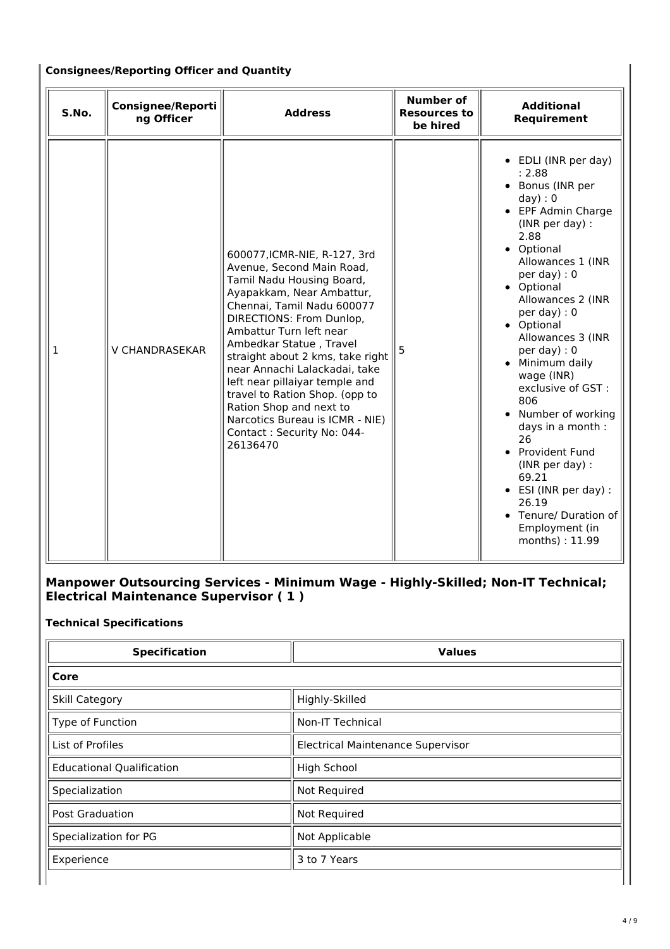## **Consignees/Reporting Officer and Quantity**

| S.No.        | <b>Consignee/Reporti</b><br>ng Officer | <b>Address</b>                                                                                                                                                                                                                                                                                                                                                                                                                                                                       | <b>Number of</b><br><b>Resources to</b><br>be hired | <b>Additional</b><br>Requirement                                                                                                                                                                                                                                                                                                                                                                                                                                                                                                                  |
|--------------|----------------------------------------|--------------------------------------------------------------------------------------------------------------------------------------------------------------------------------------------------------------------------------------------------------------------------------------------------------------------------------------------------------------------------------------------------------------------------------------------------------------------------------------|-----------------------------------------------------|---------------------------------------------------------------------------------------------------------------------------------------------------------------------------------------------------------------------------------------------------------------------------------------------------------------------------------------------------------------------------------------------------------------------------------------------------------------------------------------------------------------------------------------------------|
| $\mathbf{1}$ | V CHANDRASEKAR                         | 600077, ICMR-NIE, R-127, 3rd<br>Avenue, Second Main Road,<br>Tamil Nadu Housing Board,<br>Ayapakkam, Near Ambattur,<br>Chennai, Tamil Nadu 600077<br>DIRECTIONS: From Dunlop,<br>Ambattur Turn left near<br>Ambedkar Statue, Travel<br>straight about 2 kms, take right<br>near Annachi Lalackadai, take<br>left near pillaiyar temple and<br>travel to Ration Shop. (opp to<br>Ration Shop and next to<br>Narcotics Bureau is ICMR - NIE)<br>Contact: Security No: 044-<br>26136470 | 5                                                   | • EDLI (INR per day)<br>: 2.88<br>• Bonus (INR per<br>day): 0<br>• EPF Admin Charge<br>(INR per day) :<br>2.88<br>• Optional<br>Allowances 1 (INR<br>per day) : $0$<br>• Optional<br>Allowances 2 (INR<br>per day) : $0$<br>• Optional<br>Allowances 3 (INR<br>per day) : $0$<br>• Minimum daily<br>wage (INR)<br>exclusive of GST:<br>806<br>Number of working<br>days in a month :<br>26<br>• Provident Fund<br>(INR per day) :<br>69.21<br>$\bullet$ ESI (INR per day) :<br>26.19<br>• Tenure/ Duration of<br>Employment (in<br>months): 11.99 |

## **Manpower Outsourcing Services - Minimum Wage - Highly-Skilled; Non-IT Technical; Electrical Maintenance Supervisor ( 1 )**

# **Technical Specifications**

| <b>Specification</b>             | <b>Values</b>                            |
|----------------------------------|------------------------------------------|
| Core                             |                                          |
| <b>Skill Category</b>            | Highly-Skilled                           |
| Type of Function                 | <b>Non-IT Technical</b>                  |
| List of Profiles                 | <b>Electrical Maintenance Supervisor</b> |
| <b>Educational Qualification</b> | <b>High School</b>                       |
| Specialization                   | Not Required                             |
| <b>Post Graduation</b>           | Not Required                             |
| Specialization for PG            | Not Applicable                           |
| Experience                       | 3 to 7 Years                             |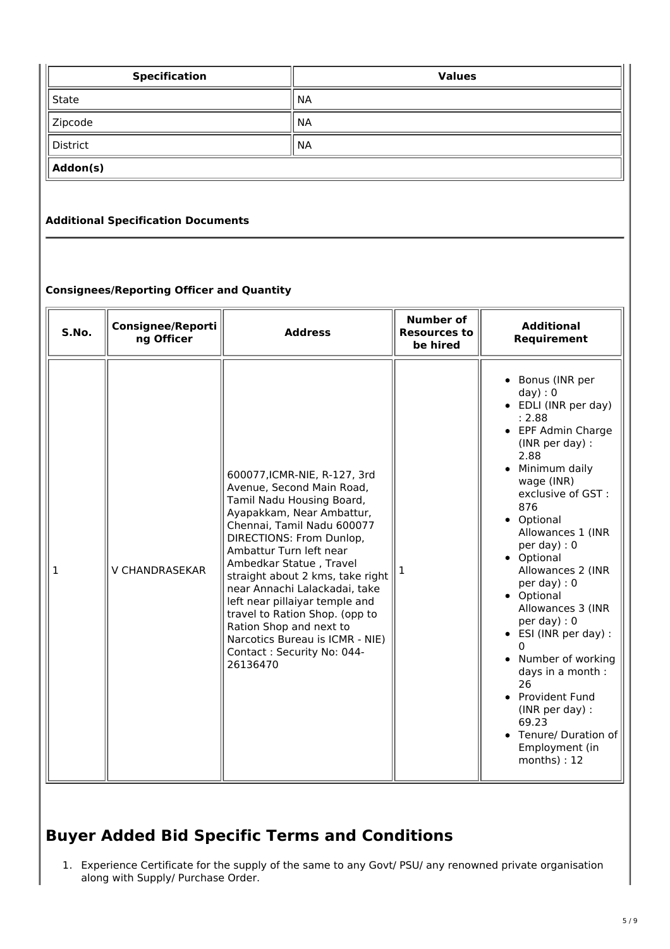| <b>Specification</b> | <b>Values</b> |  |  |
|----------------------|---------------|--|--|
| State                | <b>NA</b>     |  |  |
| Zipcode              | <b>NA</b>     |  |  |
| District             | <b>NA</b>     |  |  |
| Addon(s)             |               |  |  |

## **Additional Specification Documents**

## **Consignees/Reporting Officer and Quantity**

| S.No. | <b>Consignee/Reporti</b><br>ng Officer | <b>Address</b>                                                                                                                                                                                                                                                                                                                                                                                                                                                                       | <b>Number of</b><br><b>Resources to</b><br>be hired | <b>Additional</b><br>Requirement                                                                                                                                                                                                                                                                                                                                                                                                                                                                                                                   |
|-------|----------------------------------------|--------------------------------------------------------------------------------------------------------------------------------------------------------------------------------------------------------------------------------------------------------------------------------------------------------------------------------------------------------------------------------------------------------------------------------------------------------------------------------------|-----------------------------------------------------|----------------------------------------------------------------------------------------------------------------------------------------------------------------------------------------------------------------------------------------------------------------------------------------------------------------------------------------------------------------------------------------------------------------------------------------------------------------------------------------------------------------------------------------------------|
| 1     | V CHANDRASEKAR                         | 600077, ICMR-NIE, R-127, 3rd<br>Avenue, Second Main Road,<br>Tamil Nadu Housing Board,<br>Ayapakkam, Near Ambattur,<br>Chennai, Tamil Nadu 600077<br>DIRECTIONS: From Dunlop,<br>Ambattur Turn left near<br>Ambedkar Statue, Travel<br>straight about 2 kms, take right<br>near Annachi Lalackadai, take<br>left near pillaiyar temple and<br>travel to Ration Shop. (opp to<br>Ration Shop and next to<br>Narcotics Bureau is ICMR - NIE)<br>Contact: Security No: 044-<br>26136470 |                                                     | • Bonus (INR per<br>day): 0<br>• EDLI (INR per day)<br>: 2.88<br>• EPF Admin Charge<br>(INR per day) :<br>2.88<br>• Minimum daily<br>wage (INR)<br>exclusive of GST :<br>876<br>• Optional<br>Allowances 1 (INR<br>per day) : $0$<br>• Optional<br>Allowances 2 (INR<br>per day) : $0$<br>• Optional<br>Allowances 3 (INR<br>per day) : 0<br>$\bullet$ ESI (INR per day) :<br>Number of working<br>$\bullet$<br>days in a month :<br>26<br>• Provident Fund<br>(INR per day) :<br>69.23<br>• Tenure/ Duration of<br>Employment (in<br>months) : 12 |

# **Buyer Added Bid Specific Terms and Conditions**

1. Experience Certificate for the supply of the same to any Govt/ PSU/ any renowned private organisation along with Supply/ Purchase Order.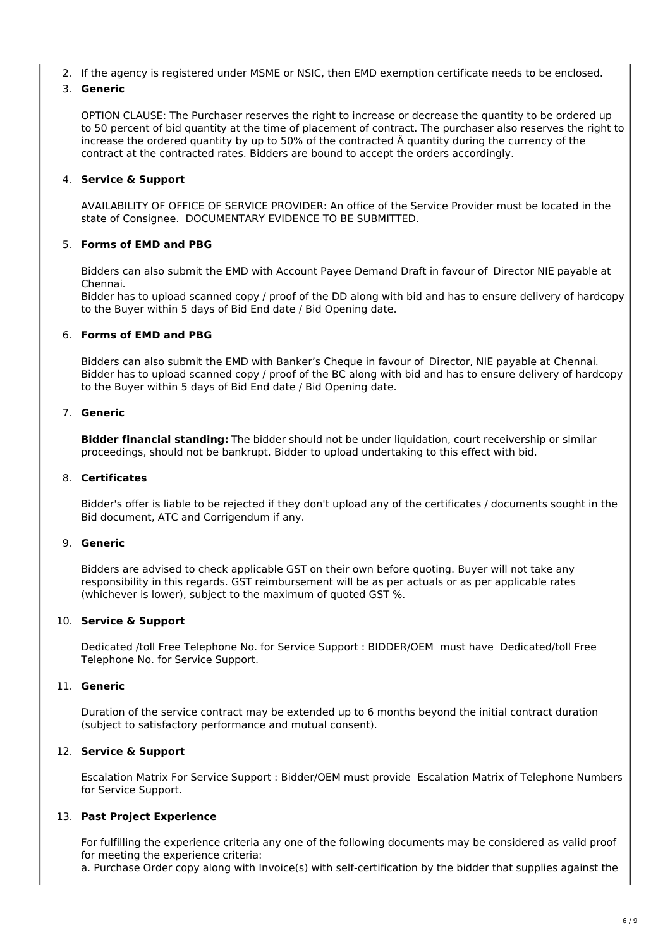2. If the agency is registered under MSME or NSIC, then EMD exemption certificate needs to be enclosed.

#### 3. **Generic**

OPTION CLAUSE: The Purchaser reserves the right to increase or decrease the quantity to be ordered up to 50 percent of bid quantity at the time of placement of contract. The purchaser also reserves the right to increase the ordered quantity by up to 50% of the contracted Â quantity during the currency of the contract at the contracted rates. Bidders are bound to accept the orders accordingly.

#### 4. **Service & Support**

AVAILABILITY OF OFFICE OF SERVICE PROVIDER: An office of the Service Provider must be located in the state of Consignee. DOCUMENTARY EVIDENCE TO BE SUBMITTED.

#### 5. **Forms of EMD and PBG**

Bidders can also submit the EMD with Account Payee Demand Draft in favour of Director NIE payable at Chennai.

Bidder has to upload scanned copy / proof of the DD along with bid and has to ensure delivery of hardcopy to the Buyer within 5 days of Bid End date / Bid Opening date.

#### 6. **Forms of EMD and PBG**

Bidders can also submit the EMD with Banker's Cheque in favour of Director, NIE payable at Chennai. Bidder has to upload scanned copy / proof of the BC along with bid and has to ensure delivery of hardcopy to the Buyer within 5 days of Bid End date / Bid Opening date.

#### 7. **Generic**

**Bidder financial standing:** The bidder should not be under liquidation, court receivership or similar proceedings, should not be bankrupt. Bidder to upload undertaking to this effect with bid.

#### 8. **Certificates**

Bidder's offer is liable to be rejected if they don't upload any of the certificates / documents sought in the Bid document, ATC and Corrigendum if any.

#### 9. **Generic**

Bidders are advised to check applicable GST on their own before quoting. Buyer will not take any responsibility in this regards. GST reimbursement will be as per actuals or as per applicable rates (whichever is lower), subject to the maximum of quoted GST %.

#### 10. **Service & Support**

Dedicated /toll Free Telephone No. for Service Support : BIDDER/OEM must have Dedicated/toll Free Telephone No. for Service Support.

#### 11. **Generic**

Duration of the service contract may be extended up to 6 months beyond the initial contract duration (subject to satisfactory performance and mutual consent).

#### 12. **Service & Support**

Escalation Matrix For Service Support : Bidder/OEM must provide Escalation Matrix of Telephone Numbers for Service Support.

#### 13. **Past Project Experience**

For fulfilling the experience criteria any one of the following documents may be considered as valid proof for meeting the experience criteria:

a. Purchase Order copy along with Invoice(s) with self-certification by the bidder that supplies against the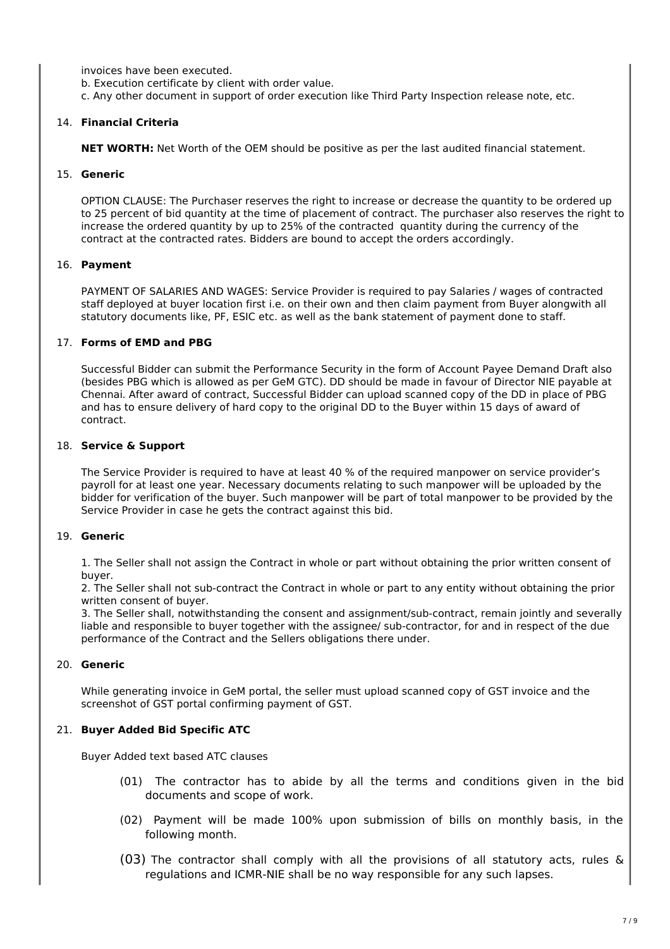invoices have been executed.

b. Execution certificate by client with order value.

c. Any other document in support of order execution like Third Party Inspection release note, etc.

#### 14. **Financial Criteria**

**NET WORTH:** Net Worth of the OEM should be positive as per the last audited financial statement.

#### 15. **Generic**

OPTION CLAUSE: The Purchaser reserves the right to increase or decrease the quantity to be ordered up to 25 percent of bid quantity at the time of placement of contract. The purchaser also reserves the right to increase the ordered quantity by up to 25% of the contracted quantity during the currency of the contract at the contracted rates. Bidders are bound to accept the orders accordingly.

#### 16. **Payment**

PAYMENT OF SALARIES AND WAGES: Service Provider is required to pay Salaries / wages of contracted staff deployed at buyer location first i.e. on their own and then claim payment from Buyer alongwith all statutory documents like, PF, ESIC etc. as well as the bank statement of payment done to staff.

#### 17. **Forms of EMD and PBG**

Successful Bidder can submit the Performance Security in the form of Account Payee Demand Draft also (besides PBG which is allowed as per GeM GTC). DD should be made in favour of Director NIE payable at Chennai. After award of contract, Successful Bidder can upload scanned copy of the DD in place of PBG and has to ensure delivery of hard copy to the original DD to the Buyer within 15 days of award of contract.

#### 18. **Service & Support**

The Service Provider is required to have at least 40 % of the required manpower on service provider's payroll for at least one year. Necessary documents relating to such manpower will be uploaded by the bidder for verification of the buyer. Such manpower will be part of total manpower to be provided by the Service Provider in case he gets the contract against this bid.

#### 19. **Generic**

1. The Seller shall not assign the Contract in whole or part without obtaining the prior written consent of buyer.

2. The Seller shall not sub-contract the Contract in whole or part to any entity without obtaining the prior written consent of buyer.

3. The Seller shall, notwithstanding the consent and assignment/sub-contract, remain jointly and severally liable and responsible to buyer together with the assignee/ sub-contractor, for and in respect of the due performance of the Contract and the Sellers obligations there under.

#### 20. **Generic**

While generating invoice in GeM portal, the seller must upload scanned copy of GST invoice and the screenshot of GST portal confirming payment of GST.

#### 21. **Buyer Added Bid Specific ATC**

Buyer Added text based ATC clauses

- (01) The contractor has to abide by all the terms and conditions given in the bid documents and scope of work.
- (02) Payment will be made 100% upon submission of bills on monthly basis, in the following month.
- (03) The contractor shall comply with all the provisions of all statutory acts, rules & regulations and ICMR-NIE shall be no way responsible for any such lapses.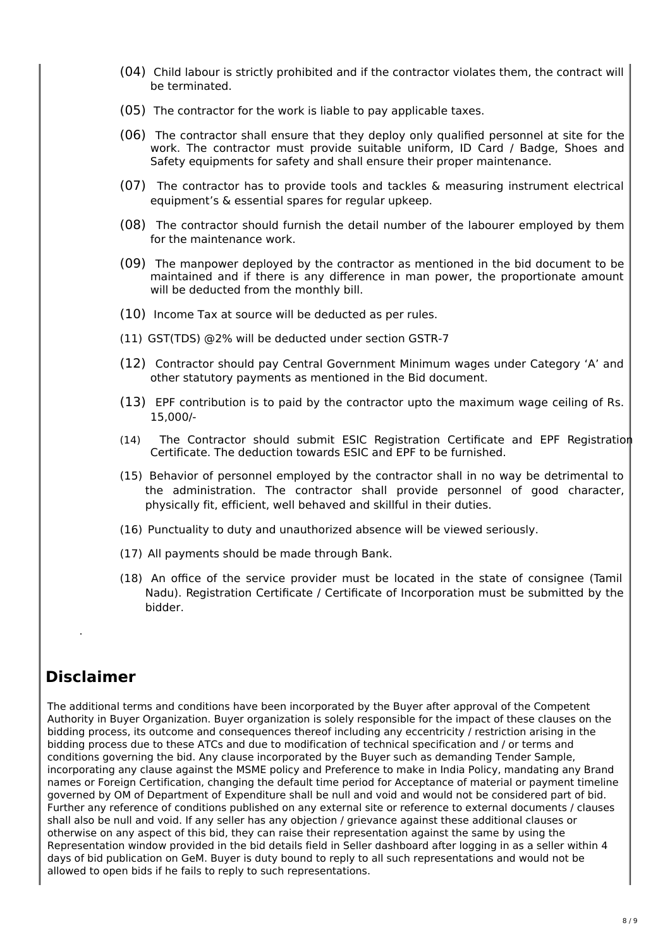- (04) Child labour is strictly prohibited and if the contractor violates them, the contract will be terminated.
- (05) The contractor for the work is liable to pay applicable taxes.
- (06) The contractor shall ensure that they deploy only qualified personnel at site for the work. The contractor must provide suitable uniform, ID Card / Badge, Shoes and Safety equipments for safety and shall ensure their proper maintenance.
- (07) The contractor has to provide tools and tackles & measuring instrument electrical equipment's & essential spares for regular upkeep.
- (08) The contractor should furnish the detail number of the labourer employed by them for the maintenance work.
- (09) The manpower deployed by the contractor as mentioned in the bid document to be maintained and if there is any difference in man power, the proportionate amount will be deducted from the monthly bill.
- (10) Income Tax at source will be deducted as per rules.
- (11) GST(TDS) @2% will be deducted under section GSTR-7
- (12) Contractor should pay Central Government Minimum wages under Category 'A' and other statutory payments as mentioned in the Bid document.
- (13) EPF contribution is to paid by the contractor upto the maximum wage ceiling of Rs. 15,000/-
- (14) The Contractor should submit ESIC Registration Certificate and EPF Registration Certificate. The deduction towards ESIC and EPF to be furnished.
- (15) Behavior of personnel employed by the contractor shall in no way be detrimental to the administration. The contractor shall provide personnel of good character, physically fit, efficient, well behaved and skillful in their duties.
- (16) Punctuality to duty and unauthorized absence will be viewed seriously.
- (17) All payments should be made through Bank.
- (18) An office of the service provider must be located in the state of consignee (Tamil Nadu). Registration Certificate / Certificate of Incorporation must be submitted by the bidder.

# **Disclaimer**

.

The additional terms and conditions have been incorporated by the Buyer after approval of the Competent Authority in Buyer Organization. Buyer organization is solely responsible for the impact of these clauses on the bidding process, its outcome and consequences thereof including any eccentricity / restriction arising in the bidding process due to these ATCs and due to modification of technical specification and / or terms and conditions governing the bid. Any clause incorporated by the Buyer such as demanding Tender Sample, incorporating any clause against the MSME policy and Preference to make in India Policy, mandating any Brand names or Foreign Certification, changing the default time period for Acceptance of material or payment timeline governed by OM of Department of Expenditure shall be null and void and would not be considered part of bid. Further any reference of conditions published on any external site or reference to external documents / clauses shall also be null and void. If any seller has any objection / grievance against these additional clauses or otherwise on any aspect of this bid, they can raise their representation against the same by using the Representation window provided in the bid details field in Seller dashboard after logging in as a seller within 4 days of bid publication on GeM. Buyer is duty bound to reply to all such representations and would not be allowed to open bids if he fails to reply to such representations.